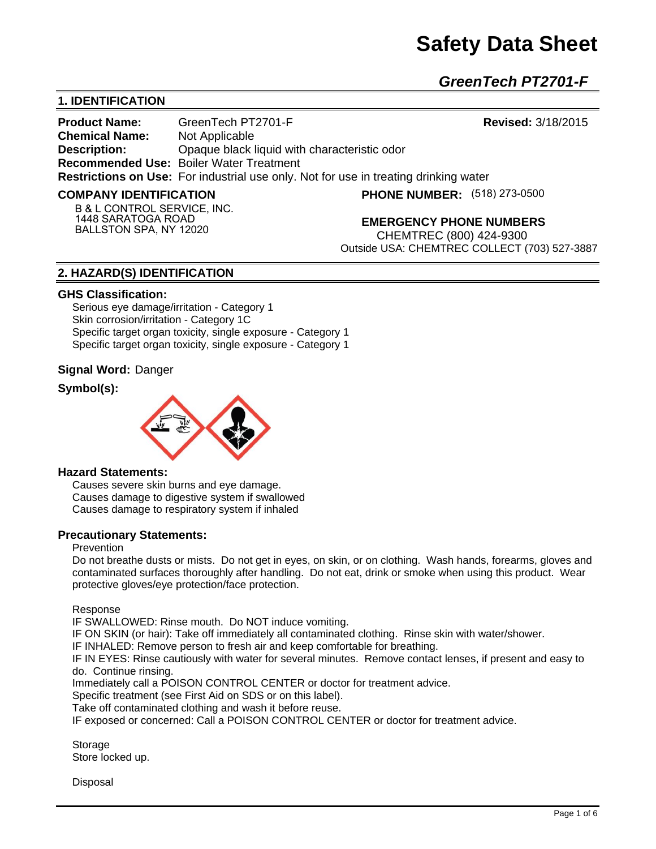*GreenTech PT2701-F* 

# **1. IDENTIFICATION**

**Product Name:** GreenTech PT2701-F **Revised:** 3/18/2015 **Chemical Name:** Not Applicable **Description:** Opaque black liquid with characteristic odor **Recommended Use:** Boiler Water Treatment **Restrictions on Use:** For industrial use only. Not for use in treating drinking water

#### **COMPANY IDENTIFICATION**

**PHONE NUMBER:** (518) 273-0500

**B & L CONTROL SERVICE, INC. 1448 SARATOGA ROAD BALLSTON SPA, NY 12020**

**EMERGENCY PHONE NUMBERS**

CHEMTREC (800) 424-9300 Outside USA: CHEMTREC COLLECT (703) 527-3887

## **2. HAZARD(S) IDENTIFICATION**

#### **GHS Classification:**

Serious eye damage/irritation - Category 1 Skin corrosion/irritation - Category 1C Specific target organ toxicity, single exposure - Category 1 Specific target organ toxicity, single exposure - Category 1

#### **Signal Word:** Danger

## **Symbol(s):**



#### **Hazard Statements:**

Causes severe skin burns and eye damage. Causes damage to digestive system if swallowed Causes damage to respiratory system if inhaled

#### **Precautionary Statements:**

## Prevention

Do not breathe dusts or mists. Do not get in eyes, on skin, or on clothing. Wash hands, forearms, gloves and contaminated surfaces thoroughly after handling. Do not eat, drink or smoke when using this product. Wear protective gloves/eye protection/face protection.

Response

IF SWALLOWED: Rinse mouth. Do NOT induce vomiting.

IF ON SKIN (or hair): Take off immediately all contaminated clothing. Rinse skin with water/shower.

IF INHALED: Remove person to fresh air and keep comfortable for breathing.

IF IN EYES: Rinse cautiously with water for several minutes. Remove contact lenses, if present and easy to do. Continue rinsing.

Immediately call a POISON CONTROL CENTER or doctor for treatment advice.

Specific treatment (see First Aid on SDS or on this label).

Take off contaminated clothing and wash it before reuse.

IF exposed or concerned: Call a POISON CONTROL CENTER or doctor for treatment advice.

Storage Store locked up.

**Disposal**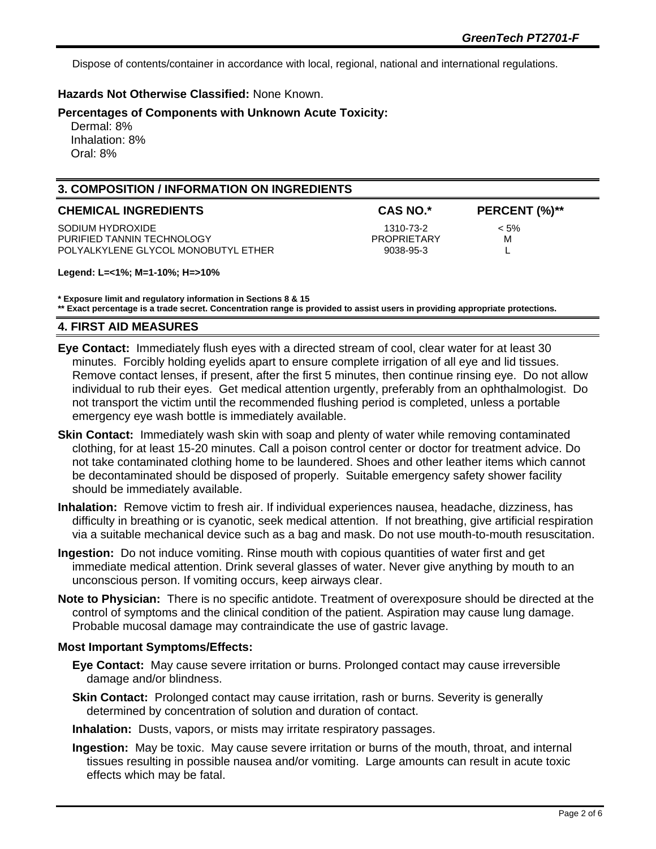Dispose of contents/container in accordance with local, regional, national and international regulations.

## **Hazards Not Otherwise Classified:** None Known.

## **Percentages of Components with Unknown Acute Toxicity:**

 Dermal: 8% Inhalation: 8% Oral: 8%

# **3. COMPOSITION / INFORMATION ON INGREDIENTS**

| <b>CHEMICAL INGREDIENTS</b>         | <b>CAS NO.*</b> | PERCENT (%)** |
|-------------------------------------|-----------------|---------------|
| SODIUM HYDROXIDE                    | 1310-73-2       | $< 5\%$       |
| PURIFIED TANNIN TECHNOLOGY          | PROPRIETARY     | м             |
| POLYALKYLENE GLYCOL MONOBUTYL ETHER | 9038-95-3       |               |

#### **Legend: L=<1%; M=1-10%; H=>10%**

**\* Exposure limit and regulatory information in Sections 8 & 15**

**\*\* Exact percentage is a trade secret. Concentration range is provided to assist users in providing appropriate protections.**

## **4. FIRST AID MEASURES**

- **Eye Contact:** Immediately flush eyes with a directed stream of cool, clear water for at least 30 minutes. Forcibly holding eyelids apart to ensure complete irrigation of all eye and lid tissues. Remove contact lenses, if present, after the first 5 minutes, then continue rinsing eye. Do not allow individual to rub their eyes. Get medical attention urgently, preferably from an ophthalmologist. Do not transport the victim until the recommended flushing period is completed, unless a portable emergency eye wash bottle is immediately available.
- **Skin Contact:** Immediately wash skin with soap and plenty of water while removing contaminated clothing, for at least 15-20 minutes. Call a poison control center or doctor for treatment advice. Do not take contaminated clothing home to be laundered. Shoes and other leather items which cannot be decontaminated should be disposed of properly. Suitable emergency safety shower facility should be immediately available.
- **Inhalation:** Remove victim to fresh air. If individual experiences nausea, headache, dizziness, has difficulty in breathing or is cyanotic, seek medical attention. If not breathing, give artificial respiration via a suitable mechanical device such as a bag and mask. Do not use mouth-to-mouth resuscitation.
- **Ingestion:** Do not induce vomiting. Rinse mouth with copious quantities of water first and get immediate medical attention. Drink several glasses of water. Never give anything by mouth to an unconscious person. If vomiting occurs, keep airways clear.
- **Note to Physician:** There is no specific antidote. Treatment of overexposure should be directed at the control of symptoms and the clinical condition of the patient. Aspiration may cause lung damage. Probable mucosal damage may contraindicate the use of gastric lavage.

#### **Most Important Symptoms/Effects:**

- **Eye Contact:** May cause severe irritation or burns. Prolonged contact may cause irreversible damage and/or blindness.
- **Skin Contact:** Prolonged contact may cause irritation, rash or burns. Severity is generally determined by concentration of solution and duration of contact.
- **Inhalation:** Dusts, vapors, or mists may irritate respiratory passages.
- **Ingestion:** May be toxic. May cause severe irritation or burns of the mouth, throat, and internal tissues resulting in possible nausea and/or vomiting. Large amounts can result in acute toxic effects which may be fatal.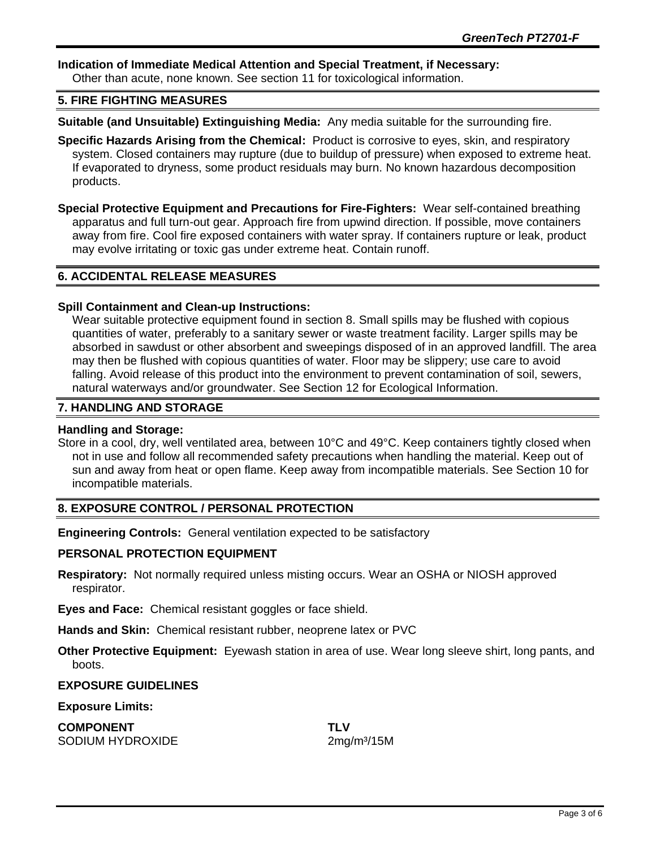## **Indication of Immediate Medical Attention and Special Treatment, if Necessary:**

Other than acute, none known. See section 11 for toxicological information.

## **5. FIRE FIGHTING MEASURES**

**Suitable (and Unsuitable) Extinguishing Media:** Any media suitable for the surrounding fire.

- **Specific Hazards Arising from the Chemical:** Product is corrosive to eyes, skin, and respiratory system. Closed containers may rupture (due to buildup of pressure) when exposed to extreme heat. If evaporated to dryness, some product residuals may burn. No known hazardous decomposition products.
- **Special Protective Equipment and Precautions for Fire-Fighters:** Wear self-contained breathing apparatus and full turn-out gear. Approach fire from upwind direction. If possible, move containers away from fire. Cool fire exposed containers with water spray. If containers rupture or leak, product may evolve irritating or toxic gas under extreme heat. Contain runoff.

## **6. ACCIDENTAL RELEASE MEASURES**

#### **Spill Containment and Clean-up Instructions:**

Wear suitable protective equipment found in section 8. Small spills may be flushed with copious quantities of water, preferably to a sanitary sewer or waste treatment facility. Larger spills may be absorbed in sawdust or other absorbent and sweepings disposed of in an approved landfill. The area may then be flushed with copious quantities of water. Floor may be slippery; use care to avoid falling. Avoid release of this product into the environment to prevent contamination of soil, sewers, natural waterways and/or groundwater. See Section 12 for Ecological Information.

#### **7. HANDLING AND STORAGE**

#### **Handling and Storage:**

Store in a cool, dry, well ventilated area, between 10°C and 49°C. Keep containers tightly closed when not in use and follow all recommended safety precautions when handling the material. Keep out of sun and away from heat or open flame. Keep away from incompatible materials. See Section 10 for incompatible materials.

## **8. EXPOSURE CONTROL / PERSONAL PROTECTION**

**Engineering Controls:** General ventilation expected to be satisfactory

#### **PERSONAL PROTECTION EQUIPMENT**

**Respiratory:** Not normally required unless misting occurs. Wear an OSHA or NIOSH approved respirator.

**Eyes and Face:** Chemical resistant goggles or face shield.

**Hands and Skin:** Chemical resistant rubber, neoprene latex or PVC

**Other Protective Equipment:** Eyewash station in area of use. Wear long sleeve shirt, long pants, and boots.

#### **EXPOSURE GUIDELINES**

**Exposure Limits:** 

| <b>COMPONENT</b> | <b>TLV</b> |
|------------------|------------|
| SODIUM HYDROXIDE | 2mg        |

 $2mg/m<sup>3</sup>/15M$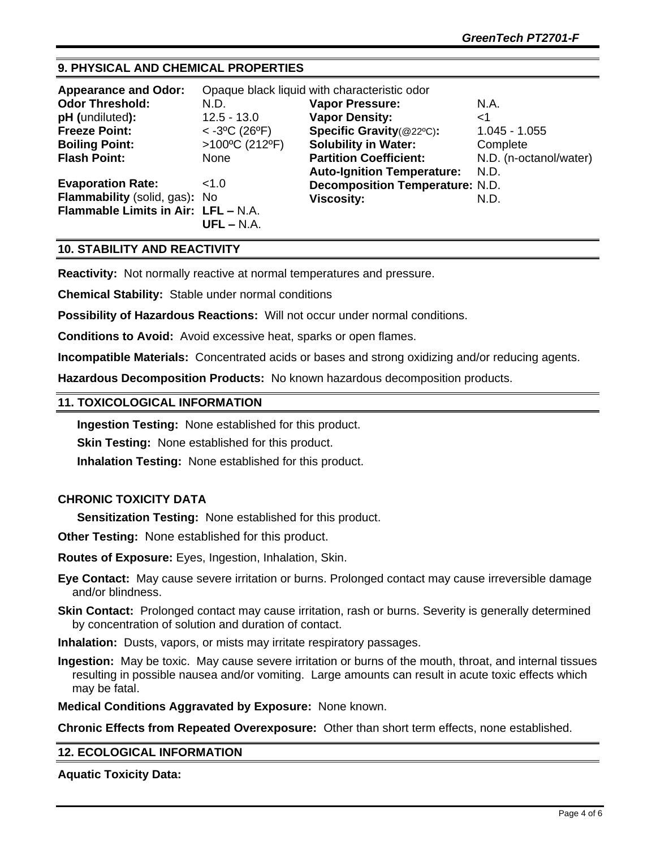# **9. PHYSICAL AND CHEMICAL PROPERTIES**

| <b>Appearance and Odor:</b>         | Opaque black liquid with characteristic odor |                                        |                        |
|-------------------------------------|----------------------------------------------|----------------------------------------|------------------------|
| <b>Odor Threshold:</b>              | N.D.                                         | <b>Vapor Pressure:</b>                 | N.A.                   |
| pH (undiluted):                     | $12.5 - 13.0$                                | <b>Vapor Density:</b>                  | <1                     |
| <b>Freeze Point:</b>                | $< -3°C$ (26°F)                              | Specific Gravity(@22°C):               | $1.045 - 1.055$        |
| <b>Boiling Point:</b>               | $>100^{\circ}$ C (212°F)                     | <b>Solubility in Water:</b>            | Complete               |
| <b>Flash Point:</b>                 | None                                         | <b>Partition Coefficient:</b>          | N.D. (n-octanol/water) |
|                                     |                                              | <b>Auto-Ignition Temperature:</b>      | N.D.                   |
| <b>Evaporation Rate:</b>            | 1.0                                          | <b>Decomposition Temperature: N.D.</b> |                        |
| Flammability (solid, gas): No       |                                              | <b>Viscosity:</b>                      | N.D.                   |
| Flammable Limits in Air: LFL - N.A. |                                              |                                        |                        |
|                                     | $UFL - N.A.$                                 |                                        |                        |

## **10. STABILITY AND REACTIVITY**

**Reactivity:** Not normally reactive at normal temperatures and pressure.

**Chemical Stability:** Stable under normal conditions

**Possibility of Hazardous Reactions:** Will not occur under normal conditions.

**Conditions to Avoid:** Avoid excessive heat, sparks or open flames.

**Incompatible Materials:** Concentrated acids or bases and strong oxidizing and/or reducing agents.

**Hazardous Decomposition Products:** No known hazardous decomposition products.

## **11. TOXICOLOGICAL INFORMATION**

**Ingestion Testing:** None established for this product.

**Skin Testing: None established for this product.** 

**Inhalation Testing:** None established for this product.

# **CHRONIC TOXICITY DATA**

**Sensitization Testing:** None established for this product.

**Other Testing:** None established for this product.

**Routes of Exposure:** Eyes, Ingestion, Inhalation, Skin.

**Eye Contact:** May cause severe irritation or burns. Prolonged contact may cause irreversible damage and/or blindness.

**Skin Contact:** Prolonged contact may cause irritation, rash or burns. Severity is generally determined by concentration of solution and duration of contact.

**Inhalation:** Dusts, vapors, or mists may irritate respiratory passages.

**Ingestion:** May be toxic. May cause severe irritation or burns of the mouth, throat, and internal tissues resulting in possible nausea and/or vomiting. Large amounts can result in acute toxic effects which may be fatal.

**Medical Conditions Aggravated by Exposure:** None known.

**Chronic Effects from Repeated Overexposure:** Other than short term effects, none established.

## **12. ECOLOGICAL INFORMATION**

**Aquatic Toxicity Data:**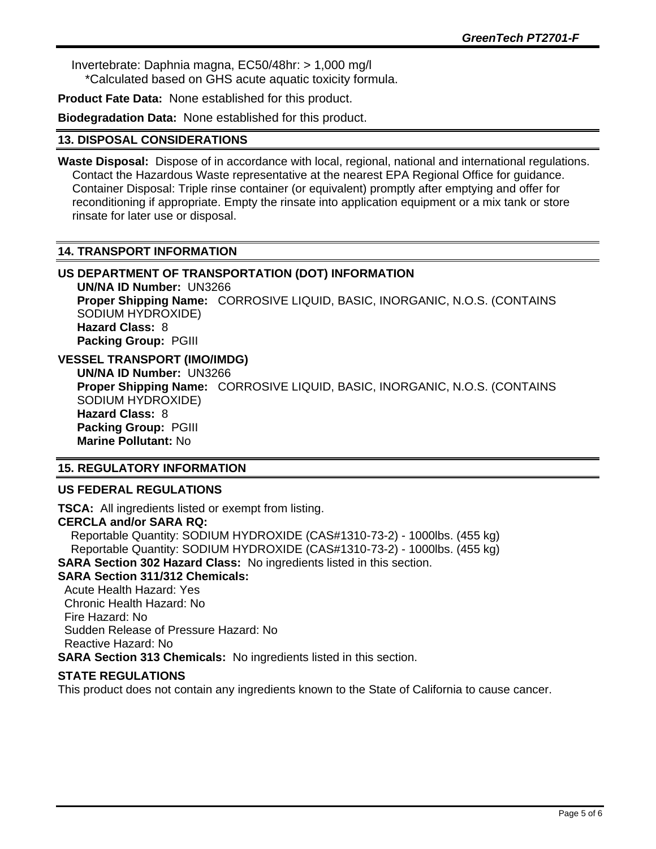Invertebrate: Daphnia magna, EC50/48hr: > 1,000 mg/l \*Calculated based on GHS acute aquatic toxicity formula.

**Product Fate Data:** None established for this product.

**Biodegradation Data:** None established for this product.

## **13. DISPOSAL CONSIDERATIONS**

**Waste Disposal:** Dispose of in accordance with local, regional, national and international regulations. Contact the Hazardous Waste representative at the nearest EPA Regional Office for guidance. Container Disposal: Triple rinse container (or equivalent) promptly after emptying and offer for reconditioning if appropriate. Empty the rinsate into application equipment or a mix tank or store rinsate for later use or disposal.

## **14. TRANSPORT INFORMATION**

# **US DEPARTMENT OF TRANSPORTATION (DOT) INFORMATION**

**UN/NA ID Number:** UN3266 **Proper Shipping Name:** CORROSIVE LIQUID, BASIC, INORGANIC, N.O.S. (CONTAINS SODIUM HYDROXIDE) **Hazard Class:** 8 **Packing Group:** PGIII

# **VESSEL TRANSPORT (IMO/IMDG)**

**UN/NA ID Number:** UN3266 **Proper Shipping Name:** CORROSIVE LIQUID, BASIC, INORGANIC, N.O.S. (CONTAINS SODIUM HYDROXIDE) **Hazard Class:** 8 **Packing Group:** PGIII **Marine Pollutant:** No

## **15. REGULATORY INFORMATION**

## **US FEDERAL REGULATIONS**

**TSCA:** All ingredients listed or exempt from listing. **CERCLA and/or SARA RQ:**  Reportable Quantity: SODIUM HYDROXIDE (CAS#1310-73-2) - 1000lbs. (455 kg) Reportable Quantity: SODIUM HYDROXIDE (CAS#1310-73-2) - 1000lbs. (455 kg) **SARA Section 302 Hazard Class:** No ingredients listed in this section. **SARA Section 311/312 Chemicals:**  Acute Health Hazard: Yes Chronic Health Hazard: No Fire Hazard: No

Sudden Release of Pressure Hazard: No

Reactive Hazard: No

**SARA Section 313 Chemicals:** No ingredients listed in this section.

# **STATE REGULATIONS**

This product does not contain any ingredients known to the State of California to cause cancer.